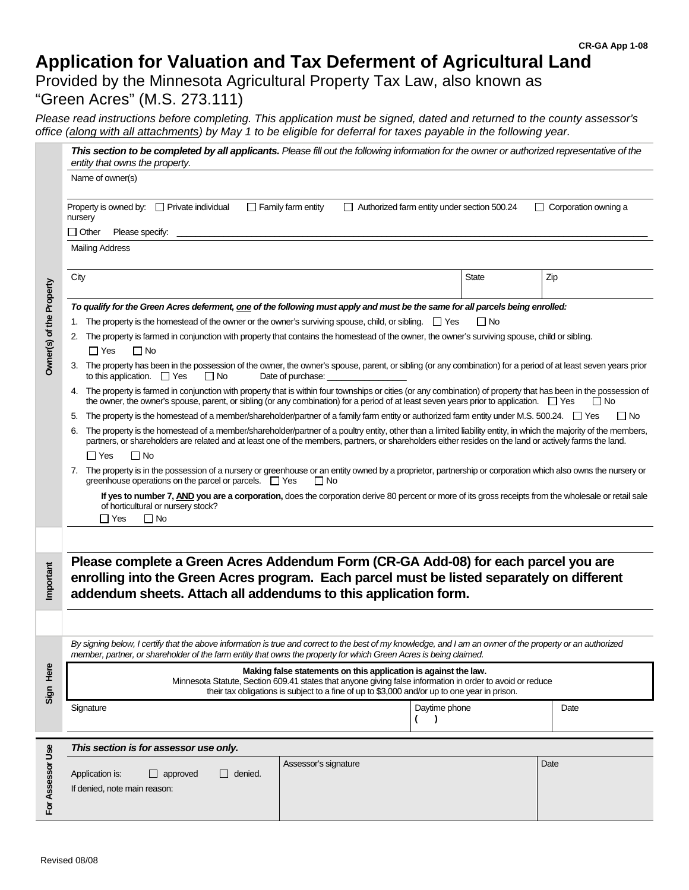# **Application for Valuation and Tax Deferment of Agricultural Land**

Provided by the Minnesota Agricultural Property Tax Law, also known as "Green Acres" (M.S. 273.111)

*Please read instructions before completing. This application must be signed, dated and returned to the county assessor's office (along with all attachments) by May 1 to be eligible for deferral for taxes payable in the following year.* 

|                          | This section to be completed by all applicants. Please fill out the following information for the owner or authorized representative of the<br>entity that owns the property.                                                                                                                                                                               |              |                             |  |  |
|--------------------------|-------------------------------------------------------------------------------------------------------------------------------------------------------------------------------------------------------------------------------------------------------------------------------------------------------------------------------------------------------------|--------------|-----------------------------|--|--|
|                          | Name of owner(s)                                                                                                                                                                                                                                                                                                                                            |              |                             |  |  |
|                          | Authorized farm entity under section 500.24<br>Property is owned by: $\Box$ Private individual<br>$\Box$ Family farm entity<br>nursery<br>$\Box$ Other<br>Please specify:                                                                                                                                                                                   |              | $\Box$ Corporation owning a |  |  |
|                          |                                                                                                                                                                                                                                                                                                                                                             |              |                             |  |  |
|                          | <b>Mailing Address</b>                                                                                                                                                                                                                                                                                                                                      |              |                             |  |  |
|                          | City                                                                                                                                                                                                                                                                                                                                                        | <b>State</b> | Zip                         |  |  |
|                          | To qualify for the Green Acres deferment, one of the following must apply and must be the same for all parcels being enrolled:                                                                                                                                                                                                                              |              |                             |  |  |
|                          |                                                                                                                                                                                                                                                                                                                                                             |              |                             |  |  |
| Owner(s) of the Property | The property is farmed in conjunction with property that contains the homestead of the owner, the owner's surviving spouse, child or sibling.<br>2.<br>$\Box$ No<br>$\Box$ Yes                                                                                                                                                                              |              |                             |  |  |
|                          | 3. The property has been in the possession of the owner, the owner's spouse, parent, or sibling (or any combination) for a period of at least seven years prior<br>to this application. $\Box$ Yes<br>$\Box$ No<br>Date of purchase:                                                                                                                        |              |                             |  |  |
|                          | 4. The property is farmed in conjunction with property that is within four townships or cities (or any combination) of property that has been in the possession of<br>the owner, the owner's spouse, parent, or sibling (or any combination) for a period of at least seven years prior to application. $\Box$ Yes<br>$\Box$ No                             |              |                             |  |  |
|                          | The property is the homestead of a member/shareholder/partner of a family farm entity or authorized farm entity under M.S. 500.24. $\square$ Yes<br>$\Box$ No<br>5.                                                                                                                                                                                         |              |                             |  |  |
|                          | The property is the homestead of a member/shareholder/partner of a poultry entity, other than a limited liability entity, in which the majority of the members,<br>6.<br>partners, or shareholders are related and at least one of the members, partners, or shareholders either resides on the land or actively farms the land.<br>$\Box$ No<br>$\Box$ Yes |              |                             |  |  |
|                          | 7. The property is in the possession of a nursery or greenhouse or an entity owned by a proprietor, partnership or corporation which also owns the nursery or                                                                                                                                                                                               |              |                             |  |  |
|                          | greenhouse operations on the parcel or parcels. $\Box$ Yes<br>∏ No                                                                                                                                                                                                                                                                                          |              |                             |  |  |
|                          | If yes to number 7, AND you are a corporation, does the corporation derive 80 percent or more of its gross receipts from the wholesale or retail sale<br>of horticultural or nursery stock?<br>$\Box$ Yes<br>$\Box$ No                                                                                                                                      |              |                             |  |  |
|                          |                                                                                                                                                                                                                                                                                                                                                             |              |                             |  |  |
|                          |                                                                                                                                                                                                                                                                                                                                                             |              |                             |  |  |
| Important                | Please complete a Green Acres Addendum Form (CR-GA Add-08) for each parcel you are<br>enrolling into the Green Acres program. Each parcel must be listed separately on different<br>addendum sheets. Attach all addendums to this application form.                                                                                                         |              |                             |  |  |
|                          |                                                                                                                                                                                                                                                                                                                                                             |              |                             |  |  |
|                          | By signing below, I certify that the above information is true and correct to the best of my knowledge, and I am an owner of the property or an authorized<br>member, partner, or shareholder of the farm entity that owns the property for which Green Acres is being claimed.                                                                             |              |                             |  |  |
| Sign Here                | Making false statements on this application is against the law.<br>Minnesota Statute, Section 609.41 states that anyone giving false information in order to avoid or reduce<br>their tax obligations is subject to a fine of up to \$3,000 and/or up to one year in prison.                                                                                |              |                             |  |  |
|                          | Signature<br>Daytime phone<br>$\lambda$                                                                                                                                                                                                                                                                                                                     |              | Date                        |  |  |
|                          | This section is for assessor use only.                                                                                                                                                                                                                                                                                                                      |              |                             |  |  |
| For Assessor Use         | Assessor's signature<br>Application is:<br>$\Box$ denied.<br>$\Box$ approved<br>If denied, note main reason:                                                                                                                                                                                                                                                |              | Date                        |  |  |
|                          |                                                                                                                                                                                                                                                                                                                                                             |              |                             |  |  |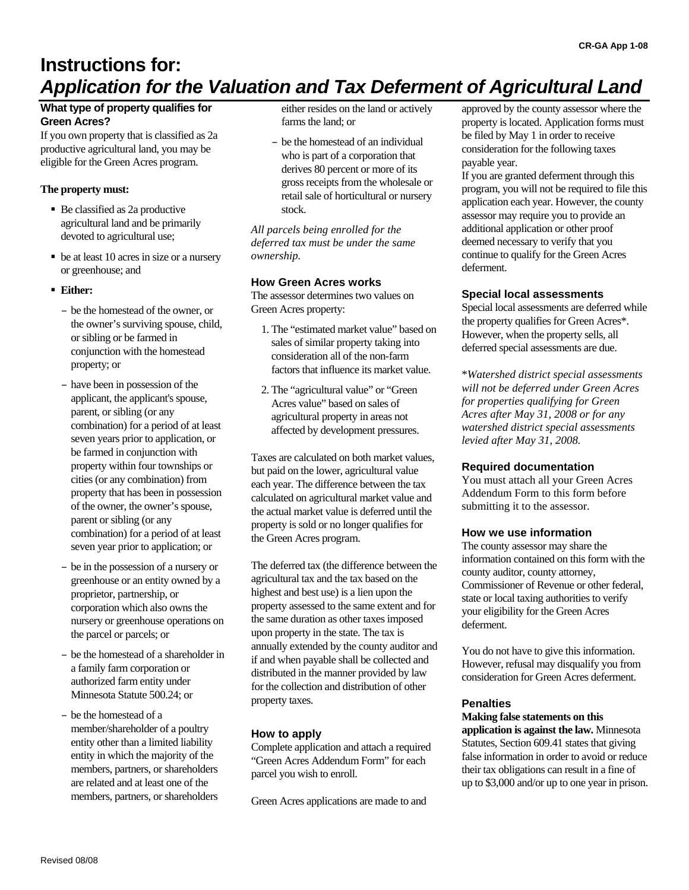# **Instructions for:** *Application for the Valuation and Tax Deferment of Agricultural Land*

#### **What type of property qualifies for Green Acres?**

If you own property that is classified as 2a productive agricultural land, you may be eligible for the Green Acres program.

#### **The property must:**

- Be classified as 2a productive agricultural land and be primarily devoted to agricultural use;
- be at least 10 acres in size or a nursery or greenhouse; and
- **Either:** 
	- be the homestead of the owner, or the owner's surviving spouse, child, or sibling or be farmed in conjunction with the homestead property; or
	- have been in possession of the applicant, the applicant's spouse, parent, or sibling (or any combination) for a period of at least seven years prior to application, or be farmed in conjunction with property within four townships or cities (or any combination) from property that has been in possession of the owner, the owner's spouse, parent or sibling (or any combination) for a period of at least seven year prior to application; or
	- be in the possession of a nursery or greenhouse or an entity owned by a proprietor, partnership, or corporation which also owns the nursery or greenhouse operations on the parcel or parcels; or
	- be the homestead of a shareholder in a family farm corporation or authorized farm entity under Minnesota Statute 500.24; or
	- be the homestead of a member/shareholder of a poultry entity other than a limited liability entity in which the majority of the members, partners, or shareholders are related and at least one of the members, partners, or shareholders

either resides on the land or actively farms the land; or

– be the homestead of an individual who is part of a corporation that derives 80 percent or more of its gross receipts from the wholesale or retail sale of horticultural or nursery stock.

*All parcels being enrolled for the deferred tax must be under the same ownership.* 

#### **How Green Acres works**

The assessor determines two values on Green Acres property:

- 1. The "estimated market value" based on sales of similar property taking into consideration all of the non-farm factors that influence its market value.
- 2. The "agricultural value" or "Green Acres value" based on sales of agricultural property in areas not affected by development pressures.

Taxes are calculated on both market values, but paid on the lower, agricultural value each year. The difference between the tax calculated on agricultural market value and the actual market value is deferred until the property is sold or no longer qualifies for the Green Acres program.

The deferred tax (the difference between the agricultural tax and the tax based on the highest and best use) is a lien upon the property assessed to the same extent and for the same duration as other taxes imposed upon property in the state. The tax is annually extended by the county auditor and if and when payable shall be collected and distributed in the manner provided by law for the collection and distribution of other property taxes.

#### **How to apply**

Complete application and attach a required "Green Acres Addendum Form" for each parcel you wish to enroll.

Green Acres applications are made to and

approved by the county assessor where the property is located. Application forms must be filed by May 1 in order to receive consideration for the following taxes payable year.

If you are granted deferment through this program, you will not be required to file this application each year. However, the county assessor may require you to provide an additional application or other proof deemed necessary to verify that you continue to qualify for the Green Acres deferment.

#### **Special local assessments**

Special local assessments are deferred while the property qualifies for Green Acres\*. However, when the property sells, all deferred special assessments are due.

\**Watershed district special assessments will not be deferred under Green Acres for properties qualifying for Green Acres after May 31, 2008 or for any watershed district special assessments levied after May 31, 2008.*

#### **Required documentation**

You must attach all your Green Acres Addendum Form to this form before submitting it to the assessor.

#### **How we use information**

The county assessor may share the information contained on this form with the county auditor, county attorney, Commissioner of Revenue or other federal, state or local taxing authorities to verify your eligibility for the Green Acres deferment.

You do not have to give this information. However, refusal may disqualify you from consideration for Green Acres deferment.

#### **Penalties**

**Making false statements on this application is against the law.** Minnesota Statutes, Section 609.41 states that giving false information in order to avoid or reduce their tax obligations can result in a fine of up to \$3,000 and/or up to one year in prison.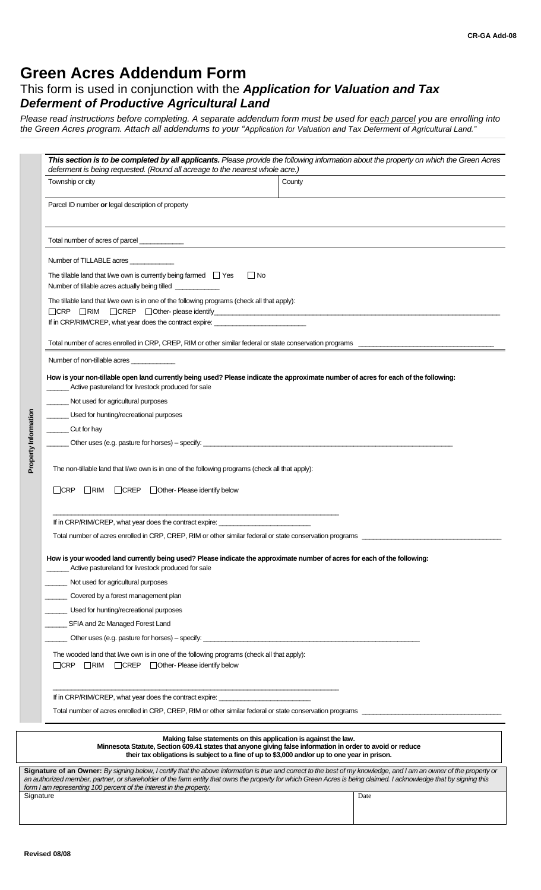# **Green Acres Addendum Form**

# This form is used in conjunction with the *Application for Valuation and Tax Deferment of Productive Agricultural Land*

*Please read instructions before completing. A separate addendum form must be used for each parcel you are enrolling into the Green Acres program. Attach all addendums to your "Application for Valuation and Tax Deferment of Agricultural Land."* 

|                      | deferment is being requested. (Round all acreage to the nearest whole acre.)<br>Township or city                                                                                                         | County                                                                                                                                                                                                                                                                                                                                    |  |  |
|----------------------|----------------------------------------------------------------------------------------------------------------------------------------------------------------------------------------------------------|-------------------------------------------------------------------------------------------------------------------------------------------------------------------------------------------------------------------------------------------------------------------------------------------------------------------------------------------|--|--|
|                      | Parcel ID number or legal description of property                                                                                                                                                        |                                                                                                                                                                                                                                                                                                                                           |  |  |
|                      | Total number of acres of parcel____________                                                                                                                                                              | <u> 1980 - Johann Barn, fransk politik (f. 1980)</u>                                                                                                                                                                                                                                                                                      |  |  |
|                      | Number of TILLABLE acres                                                                                                                                                                                 |                                                                                                                                                                                                                                                                                                                                           |  |  |
|                      | The tillable land that I/we own is currently being farmed $\Box$ Yes<br>$\Box$ No<br>Number of tillable acres actually being tilled ______________                                                       |                                                                                                                                                                                                                                                                                                                                           |  |  |
|                      | The tillable land that I/we own is in one of the following programs (check all that apply):<br>$\Box$ CRP $\Box$ RIM<br>If in CRP/RIM/CREP, what year does the contract expire: ________________________ |                                                                                                                                                                                                                                                                                                                                           |  |  |
|                      |                                                                                                                                                                                                          |                                                                                                                                                                                                                                                                                                                                           |  |  |
|                      | Number of non-tillable acres                                                                                                                                                                             |                                                                                                                                                                                                                                                                                                                                           |  |  |
|                      | How is your non-tillable open land currently being used? Please indicate the approximate number of acres for each of the following:<br>Active pastureland for livestock produced for sale                |                                                                                                                                                                                                                                                                                                                                           |  |  |
|                      | Not used for agricultural purposes                                                                                                                                                                       |                                                                                                                                                                                                                                                                                                                                           |  |  |
| Property Information | Used for hunting/recreational purposes                                                                                                                                                                   |                                                                                                                                                                                                                                                                                                                                           |  |  |
|                      | Cut for hay                                                                                                                                                                                              |                                                                                                                                                                                                                                                                                                                                           |  |  |
|                      |                                                                                                                                                                                                          |                                                                                                                                                                                                                                                                                                                                           |  |  |
|                      |                                                                                                                                                                                                          |                                                                                                                                                                                                                                                                                                                                           |  |  |
|                      | If in CRP/RIM/CREP, what year does the contract expire:<br>Total number of acres enrolled in CRP, CREP, RIM or other similar federal or state conservation programs                                      |                                                                                                                                                                                                                                                                                                                                           |  |  |
|                      | How is your wooded land currently being used? Please indicate the approximate number of acres for each of the following:<br>Active pastureland for livestock produced for sale                           |                                                                                                                                                                                                                                                                                                                                           |  |  |
|                      | Not used for agricultural purposes                                                                                                                                                                       |                                                                                                                                                                                                                                                                                                                                           |  |  |
|                      | Covered by a forest management plan                                                                                                                                                                      |                                                                                                                                                                                                                                                                                                                                           |  |  |
|                      | Used for hunting/recreational purposes                                                                                                                                                                   |                                                                                                                                                                                                                                                                                                                                           |  |  |
|                      | SFIA and 2c Managed Forest Land                                                                                                                                                                          |                                                                                                                                                                                                                                                                                                                                           |  |  |
|                      |                                                                                                                                                                                                          |                                                                                                                                                                                                                                                                                                                                           |  |  |
|                      | The wooded land that I/we own is in one of the following programs (check all that apply):<br>□CRP □RIM □CREP □Other-Please identify below                                                                |                                                                                                                                                                                                                                                                                                                                           |  |  |
|                      | If in CRP/RIM/CREP, what year does the contract expire: ________________________                                                                                                                         |                                                                                                                                                                                                                                                                                                                                           |  |  |
|                      |                                                                                                                                                                                                          | Total number of acres enrolled in CRP, CREP, RIM or other similar federal or state conservation programs                                                                                                                                                                                                                                  |  |  |
|                      |                                                                                                                                                                                                          | Making false statements on this application is against the law.<br>Minnesota Statute, Section 609.41 states that anyone giving false information in order to avoid or reduce<br>their tax obligations is subject to a fine of up to \$3,000 and/or up to one year in prison.                                                              |  |  |
|                      | form I am representing 100 percent of the interest in the property.                                                                                                                                      | Signature of an Owner: By signing below, I certify that the above information is true and correct to the best of my knowledge, and I am an owner of the property or<br>an authorized member, partner, or shareholder of the farm entity that owns the property for which Green Acres is being claimed. I acknowledge that by signing this |  |  |